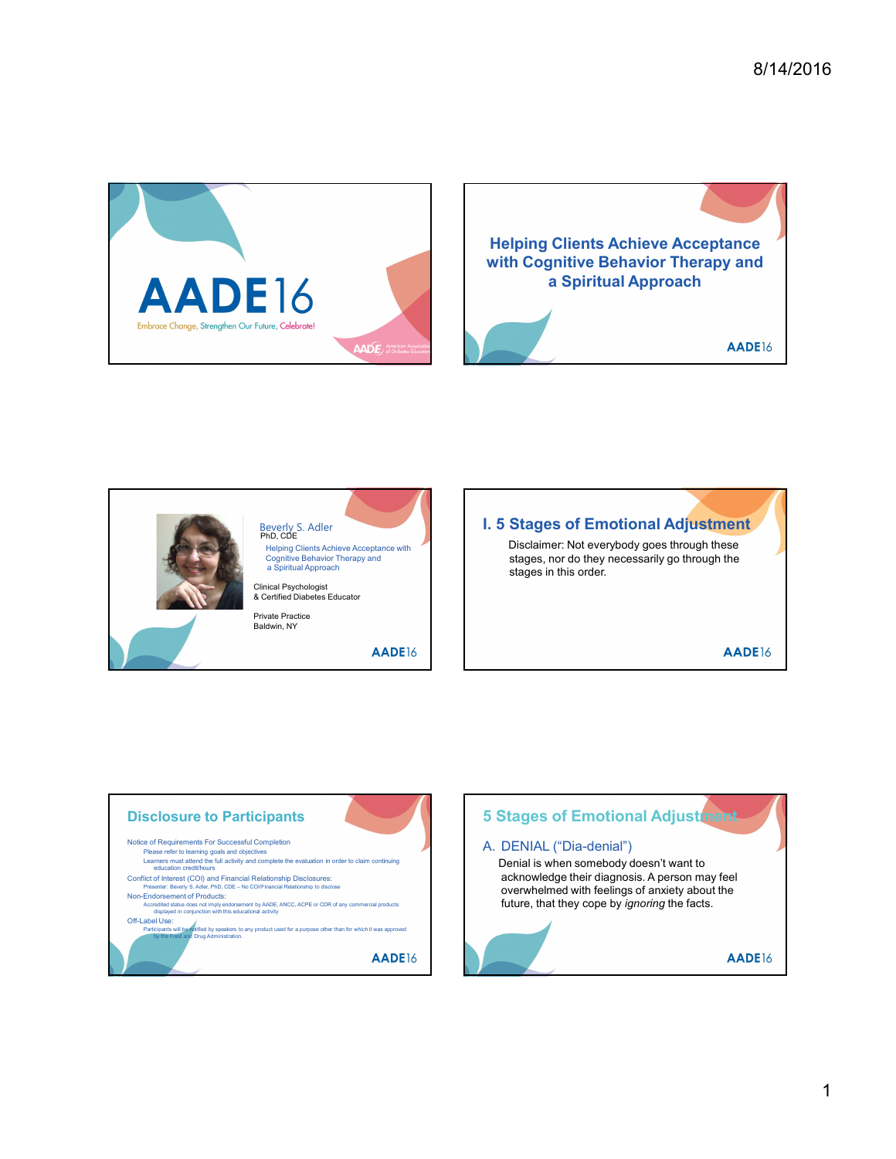







a Spiritual Approach **Supervice Contract Contract Contract Contract Contract Contract Contract Contract Contract Contract Contract Contract Contract Contract Contract Contract Contract Contract Contract Contract Contract C** Disclaimer: Not everybody goes through these stages, nor do they necessarily go through the



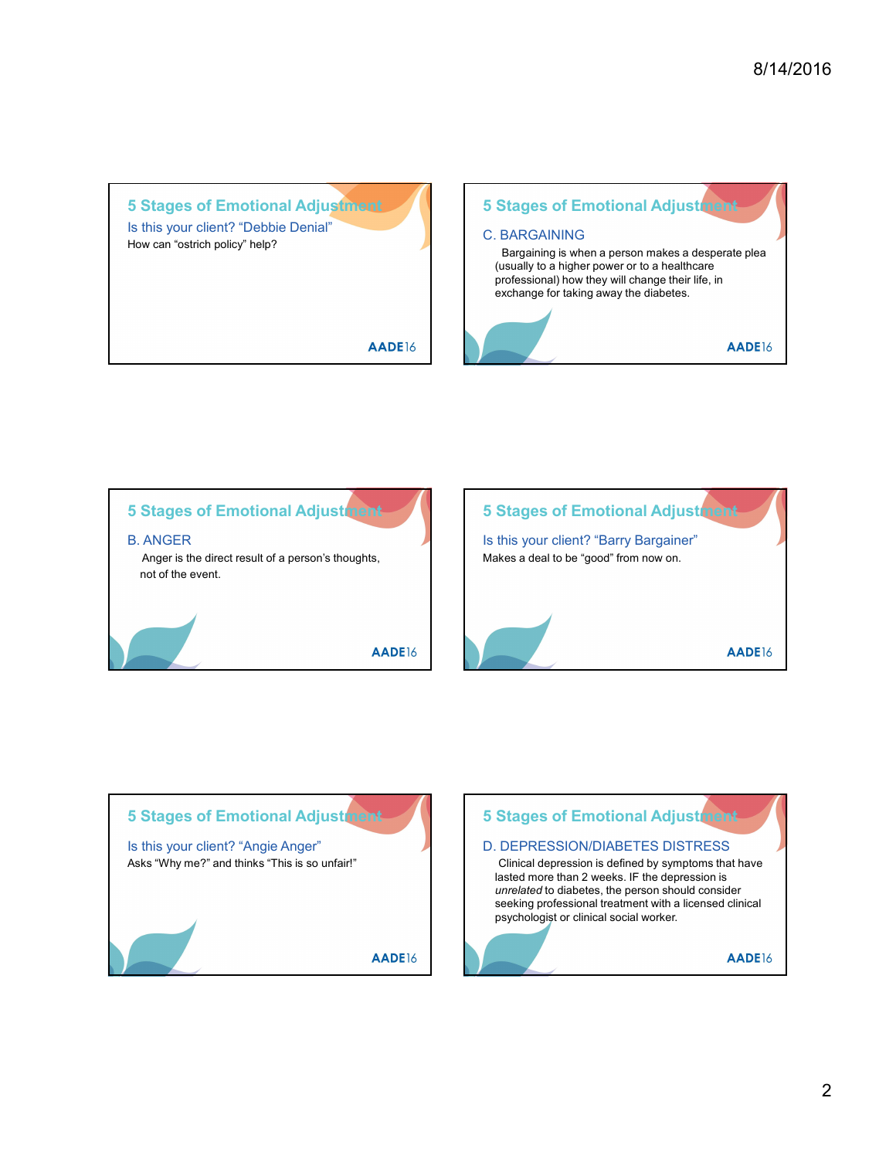5 Stages of Emotional Adjustment Is this your client? "Debbie Denial" How can "ostrich policy" help?

AADE16





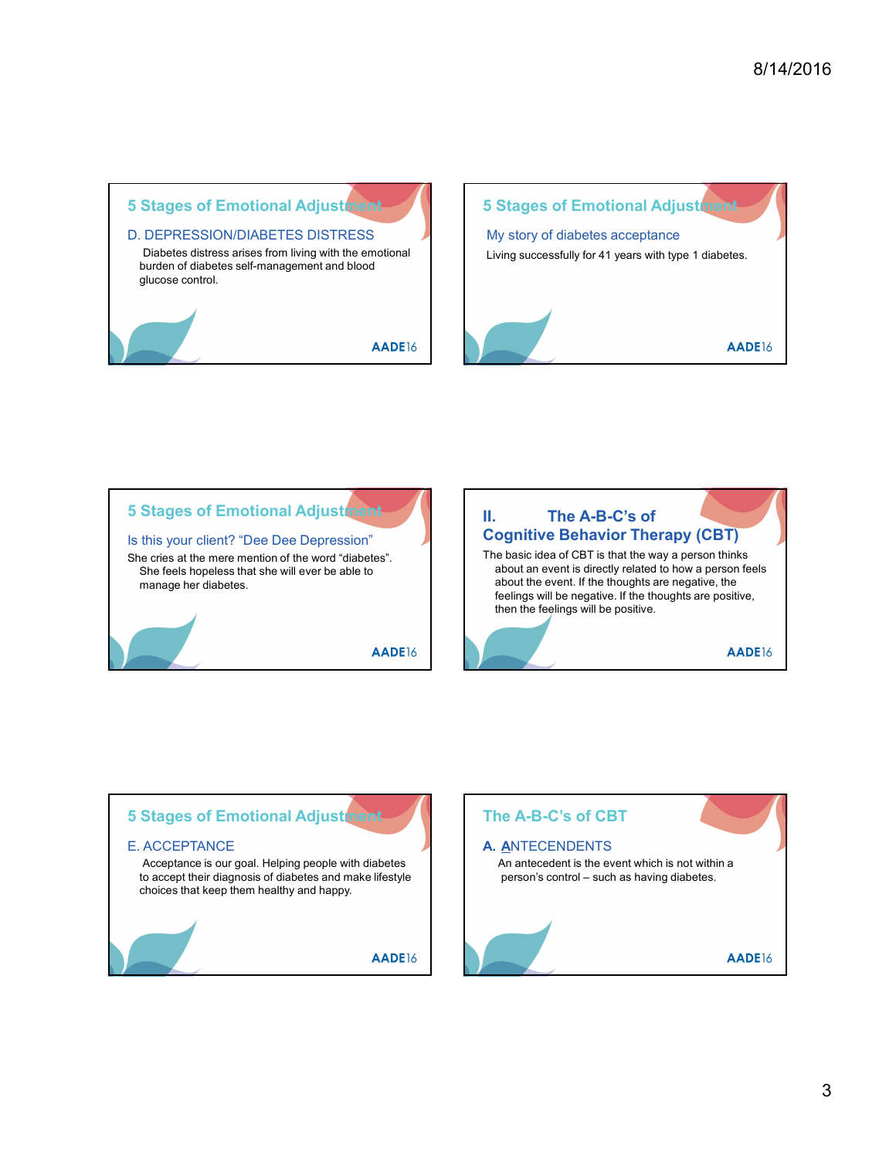









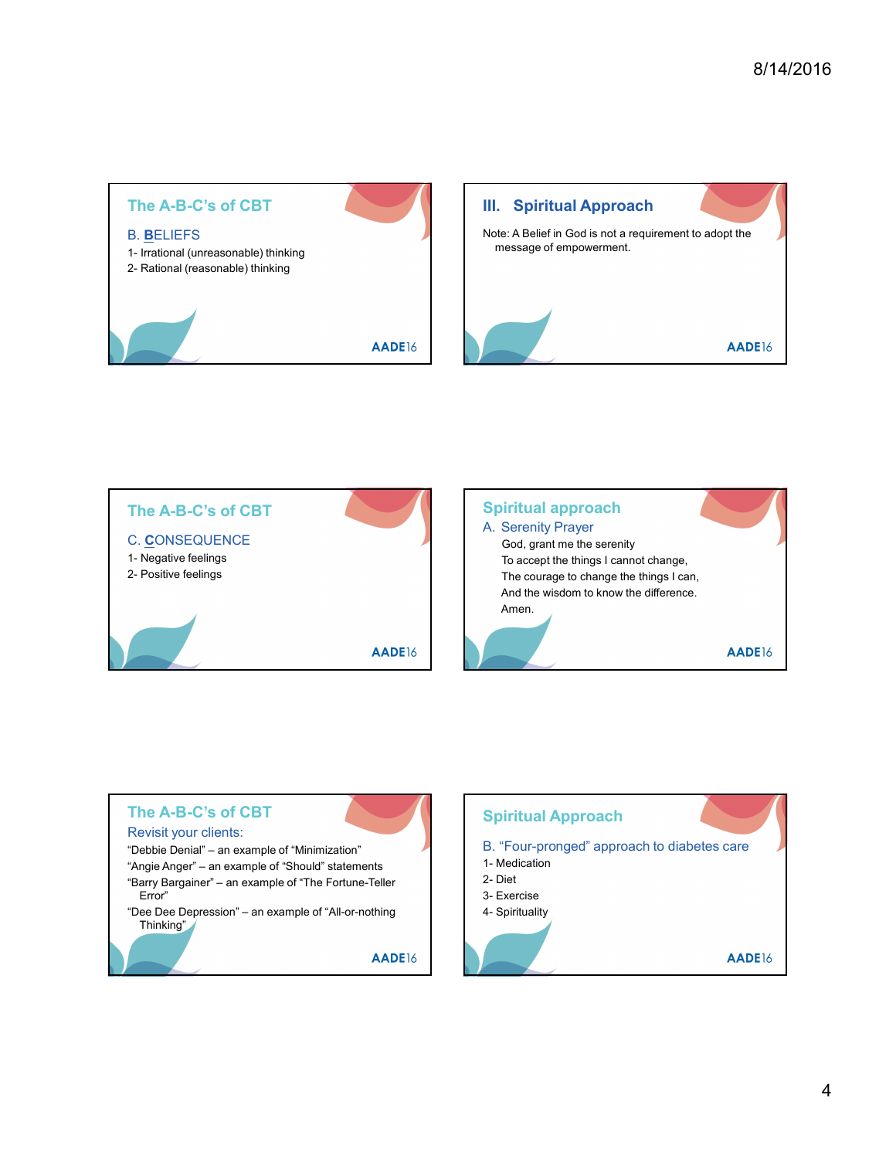